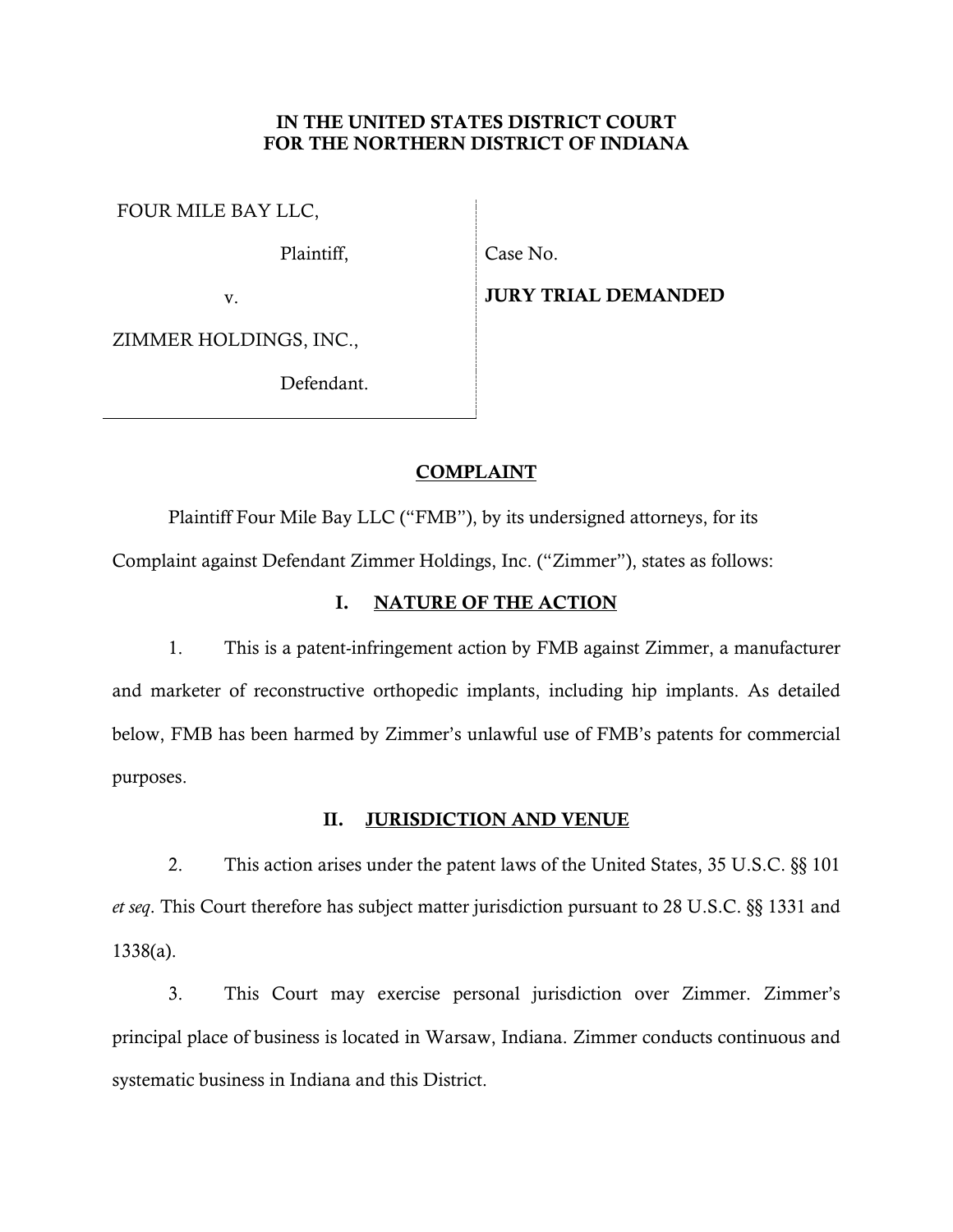## IN THE UNITED STATES DISTRICT COURT FOR THE NORTHERN DISTRICT OF INDIANA

FOUR MILE BAY LLC,

Plaintiff,

Case No.

v.

JURY TRIAL DEMANDED

ZIMMER HOLDINGS, INC.,

Defendant.

# COMPLAINT

Plaintiff Four Mile Bay LLC ("FMB"), by its undersigned attorneys, for its Complaint against Defendant Zimmer Holdings, Inc. ("Zimmer"), states as follows:

# I. NATURE OF THE ACTION

1. This is a patent-infringement action by FMB against Zimmer, a manufacturer and marketer of reconstructive orthopedic implants, including hip implants. As detailed below, FMB has been harmed by Zimmer's unlawful use of FMB's patents for commercial purposes.

# II. JURISDICTION AND VENUE

2. This action arises under the patent laws of the United States, 35 U.S.C. §§ 101 *et seq*. This Court therefore has subject matter jurisdiction pursuant to 28 U.S.C. §§ 1331 and 1338(a).

3. This Court may exercise personal jurisdiction over Zimmer. Zimmer's principal place of business is located in Warsaw, Indiana. Zimmer conducts continuous and systematic business in Indiana and this District.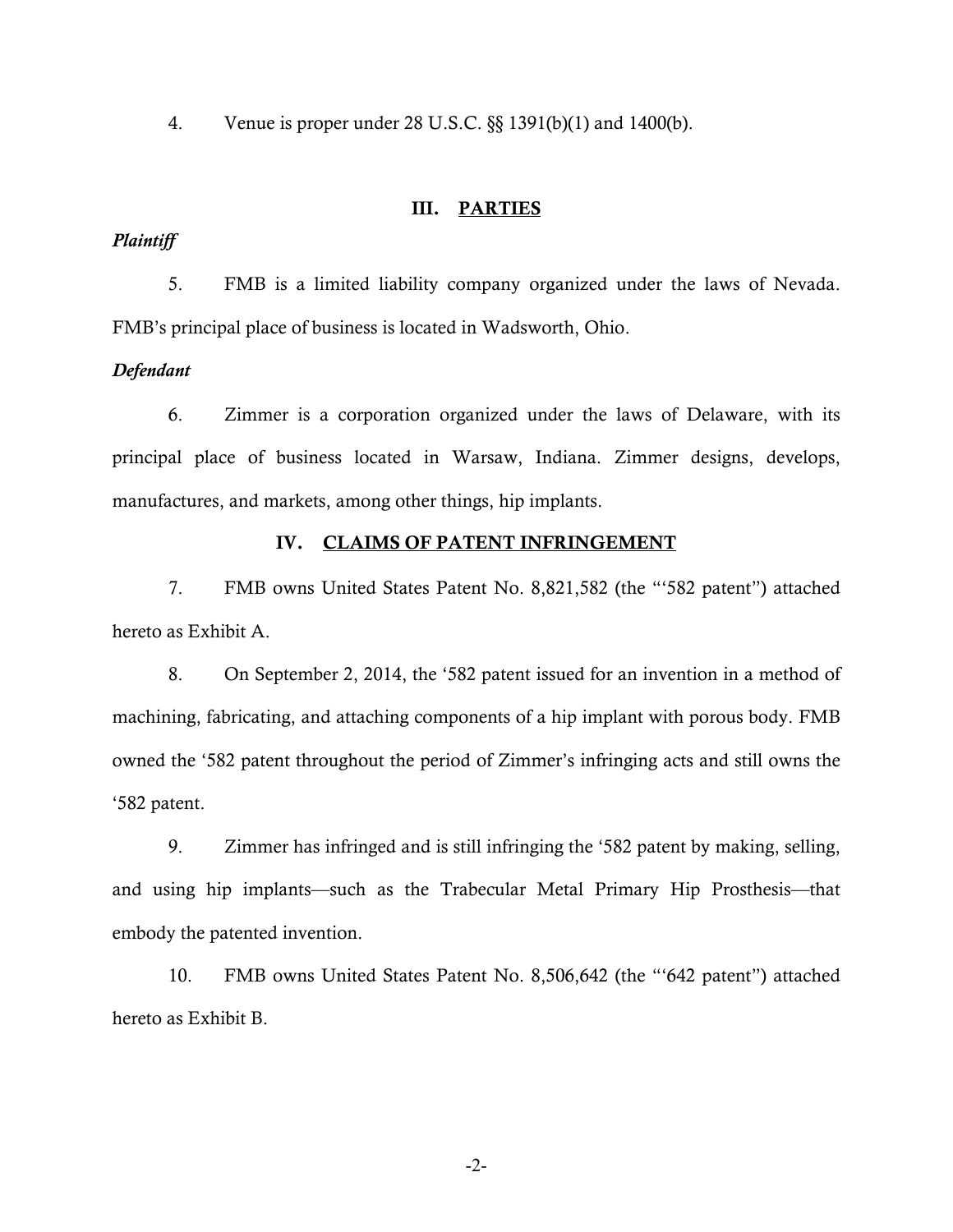4. Venue is proper under 28 U.S.C. §§ 1391(b)(1) and 1400(b).

### III. PARTIES

### *Plaintiff*

5. FMB is a limited liability company organized under the laws of Nevada. FMB's principal place of business is located in Wadsworth, Ohio.

### *Defendant*

6. Zimmer is a corporation organized under the laws of Delaware, with its principal place of business located in Warsaw, Indiana. Zimmer designs, develops, manufactures, and markets, among other things, hip implants.

#### IV. CLAIMS OF PATENT INFRINGEMENT

7. FMB owns United States Patent No. 8,821,582 (the "'582 patent") attached hereto as Exhibit A.

8. On September 2, 2014, the '582 patent issued for an invention in a method of machining, fabricating, and attaching components of a hip implant with porous body. FMB owned the '582 patent throughout the period of Zimmer's infringing acts and still owns the '582 patent.

9. Zimmer has infringed and is still infringing the '582 patent by making, selling, and using hip implants—such as the Trabecular Metal Primary Hip Prosthesis—that embody the patented invention.

10. FMB owns United States Patent No. 8,506,642 (the "'642 patent") attached hereto as Exhibit B.

-2-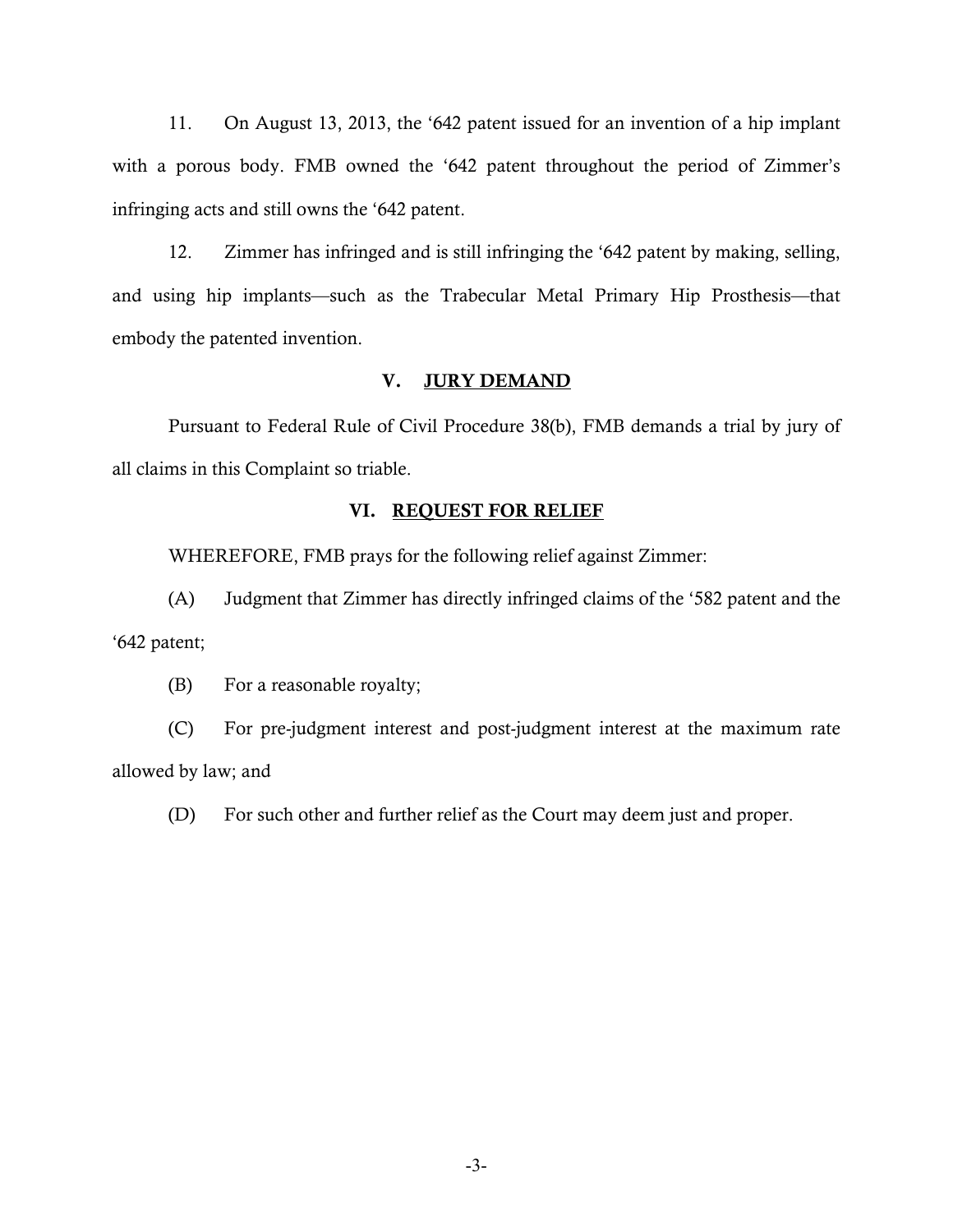11. On August 13, 2013, the '642 patent issued for an invention of a hip implant with a porous body. FMB owned the '642 patent throughout the period of Zimmer's infringing acts and still owns the '642 patent.

12. Zimmer has infringed and is still infringing the '642 patent by making, selling, and using hip implants—such as the Trabecular Metal Primary Hip Prosthesis—that embody the patented invention.

### V. JURY DEMAND

Pursuant to Federal Rule of Civil Procedure 38(b), FMB demands a trial by jury of all claims in this Complaint so triable.

### VI. REQUEST FOR RELIEF

WHEREFORE, FMB prays for the following relief against Zimmer:

(A) Judgment that Zimmer has directly infringed claims of the '582 patent and the '642 patent;

(B) For a reasonable royalty;

(C) For pre-judgment interest and post-judgment interest at the maximum rate allowed by law; and

(D) For such other and further relief as the Court may deem just and proper.